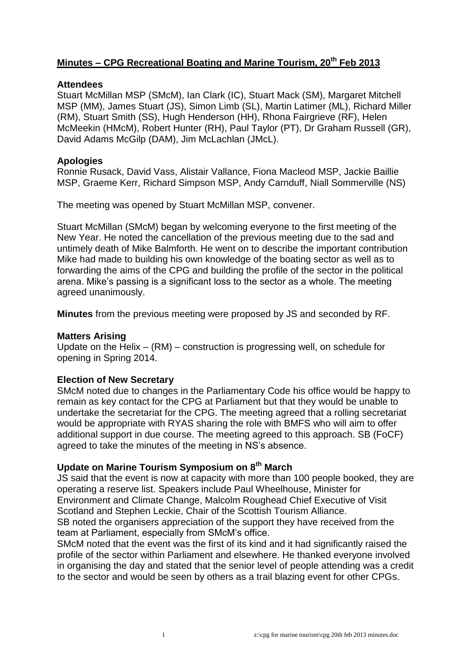# **Minutes – CPG Recreational Boating and Marine Tourism, 20th Feb 2013**

#### **Attendees**

Stuart McMillan MSP (SMcM), Ian Clark (IC), Stuart Mack (SM), Margaret Mitchell MSP (MM), James Stuart (JS), Simon Limb (SL), Martin Latimer (ML), Richard Miller (RM), Stuart Smith (SS), Hugh Henderson (HH), Rhona Fairgrieve (RF), Helen McMeekin (HMcM), Robert Hunter (RH), Paul Taylor (PT), Dr Graham Russell (GR), David Adams McGilp (DAM), Jim McLachlan (JMcL).

### **Apologies**

Ronnie Rusack, David Vass, Alistair Vallance, Fiona Macleod MSP, Jackie Baillie MSP, Graeme Kerr, Richard Simpson MSP, Andy Carnduff, Niall Sommerville (NS)

The meeting was opened by Stuart McMillan MSP, convener.

Stuart McMillan (SMcM) began by welcoming everyone to the first meeting of the New Year. He noted the cancellation of the previous meeting due to the sad and untimely death of Mike Balmforth. He went on to describe the important contribution Mike had made to building his own knowledge of the boating sector as well as to forwarding the aims of the CPG and building the profile of the sector in the political arena. Mike's passing is a significant loss to the sector as a whole. The meeting agreed unanimously.

**Minutes** from the previous meeting were proposed by JS and seconded by RF.

### **Matters Arising**

Update on the Helix – (RM) – construction is progressing well, on schedule for opening in Spring 2014.

### **Election of New Secretary**

SMcM noted due to changes in the Parliamentary Code his office would be happy to remain as key contact for the CPG at Parliament but that they would be unable to undertake the secretariat for the CPG. The meeting agreed that a rolling secretariat would be appropriate with RYAS sharing the role with BMFS who will aim to offer additional support in due course. The meeting agreed to this approach. SB (FoCF) agreed to take the minutes of the meeting in NS's absence.

## **Update on Marine Tourism Symposium on 8th March**

JS said that the event is now at capacity with more than 100 people booked, they are operating a reserve list. Speakers include Paul Wheelhouse, Minister for Environment and Climate Change, Malcolm Roughead Chief Executive of Visit Scotland and Stephen Leckie, Chair of the Scottish Tourism Alliance. SB noted the organisers appreciation of the support they have received from the team at Parliament, especially from SMcM's office.

SMcM noted that the event was the first of its kind and it had significantly raised the profile of the sector within Parliament and elsewhere. He thanked everyone involved in organising the day and stated that the senior level of people attending was a credit to the sector and would be seen by others as a trail blazing event for other CPGs.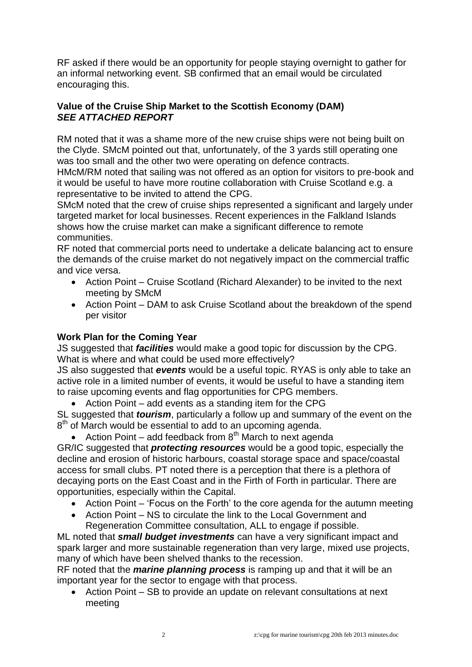RF asked if there would be an opportunity for people staying overnight to gather for an informal networking event. SB confirmed that an email would be circulated encouraging this.

### **Value of the Cruise Ship Market to the Scottish Economy (DAM)** *SEE ATTACHED REPORT*

RM noted that it was a shame more of the new cruise ships were not being built on the Clyde. SMcM pointed out that, unfortunately, of the 3 yards still operating one was too small and the other two were operating on defence contracts.

HMcM/RM noted that sailing was not offered as an option for visitors to pre-book and it would be useful to have more routine collaboration with Cruise Scotland e.g. a representative to be invited to attend the CPG.

SMcM noted that the crew of cruise ships represented a significant and largely under targeted market for local businesses. Recent experiences in the Falkland Islands shows how the cruise market can make a significant difference to remote communities.

RF noted that commercial ports need to undertake a delicate balancing act to ensure the demands of the cruise market do not negatively impact on the commercial traffic and vice versa.

- Action Point Cruise Scotland (Richard Alexander) to be invited to the next meeting by SMcM
- Action Point DAM to ask Cruise Scotland about the breakdown of the spend per visitor

## **Work Plan for the Coming Year**

JS suggested that *facilities* would make a good topic for discussion by the CPG. What is where and what could be used more effectively?

JS also suggested that *events* would be a useful topic. RYAS is only able to take an active role in a limited number of events, it would be useful to have a standing item to raise upcoming events and flag opportunities for CPG members.

Action Point – add events as a standing item for the CPG

SL suggested that *tourism*, particularly a follow up and summary of the event on the 8<sup>th</sup> of March would be essential to add to an upcoming agenda.

• Action Point – add feedback from  $8<sup>th</sup>$  March to next agenda

GR/IC suggested that *protecting resources* would be a good topic, especially the decline and erosion of historic harbours, coastal storage space and space/coastal access for small clubs. PT noted there is a perception that there is a plethora of decaying ports on the East Coast and in the Firth of Forth in particular. There are opportunities, especially within the Capital.

- Action Point 'Focus on the Forth' to the core agenda for the autumn meeting
- Action Point NS to circulate the link to the Local Government and Regeneration Committee consultation, ALL to engage if possible.

ML noted that *small budget investments* can have a very significant impact and spark larger and more sustainable regeneration than very large, mixed use projects, many of which have been shelved thanks to the recession.

RF noted that the *marine planning process* is ramping up and that it will be an important year for the sector to engage with that process.

 Action Point – SB to provide an update on relevant consultations at next meeting